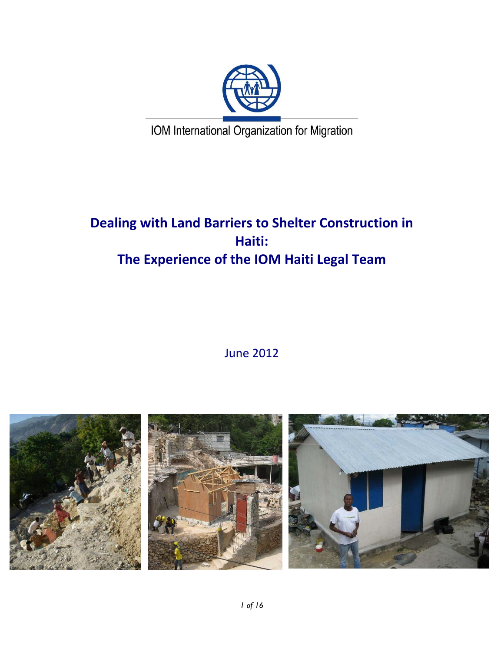

IOM International Organization for Migration

# **Dealing with Land Barriers to Shelter Construction in Haiti: The Experience of the IOM Haiti Legal Team**

June 2012

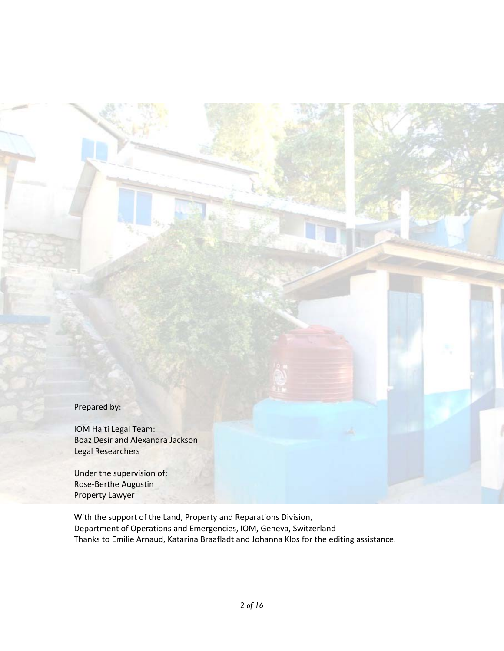Prepared by:

IOM Haiti Legal Team: Boaz Desir and Alexandra Jackson Legal Researchers

Under the supervision of: Rose‐Berthe Augustin Property Lawyer

With the support of the Land, Property and Reparations Division, Department of Operations and Emergencies, IOM, Geneva, Switzerland Thanks to Emilie Arnaud, Katarina Braafladt and Johanna Klos for the editing assistance.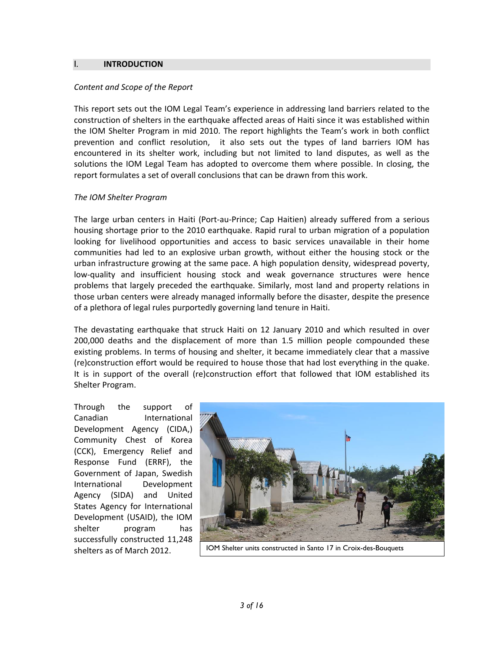#### I. **INTRODUCTION**

#### *Content and Scope of the Report*

This report sets out the IOM Legal Team's experience in addressing land barriers related to the construction of shelters in the earthquake affected areas of Haiti since it was established within the IOM Shelter Program in mid 2010. The report highlights the Team's work in both conflict prevention and conflict resolution, it also sets out the types of land barriers IOM has encountered in its shelter work, including but not limited to land disputes, as well as the solutions the IOM Legal Team has adopted to overcome them where possible. In closing, the report formulates a set of overall conclusions that can be drawn from this work.

### *The IOM Shelter Program*

The large urban centers in Haiti (Port‐au‐Prince; Cap Haitien) already suffered from a serious housing shortage prior to the 2010 earthquake. Rapid rural to urban migration of a population looking for livelihood opportunities and access to basic services unavailable in their home communities had led to an explosive urban growth, without either the housing stock or the urban infrastructure growing at the same pace. A high population density, widespread poverty, low‐quality and insufficient housing stock and weak governance structures were hence problems that largely preceded the earthquake. Similarly, most land and property relations in those urban centers were already managed informally before the disaster, despite the presence of a plethora of legal rules purportedly governing land tenure in Haiti.

The devastating earthquake that struck Haiti on 12 January 2010 and which resulted in over 200,000 deaths and the displacement of more than 1.5 million people compounded these existing problems. In terms of housing and shelter, it became immediately clear that a massive (re)construction effort would be required to house those that had lost everything in the quake. It is in support of the overall (re)construction effort that followed that IOM established its Shelter Program.

Through the support of Canadian International Development Agency (CIDA,) Community Chest of Korea (CCK), Emergency Relief and Response Fund (ERRF), the Government of Japan, Swedish International Development Agency (SIDA) and United States Agency for International Development (USAID), the IOM shelter program has successfully constructed 11,248

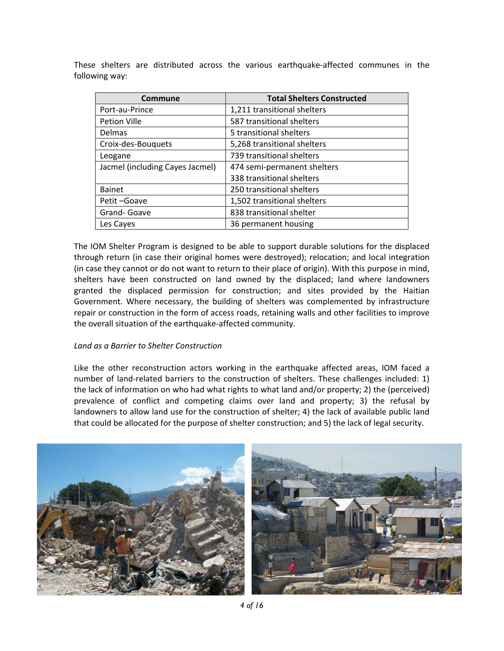These shelters are distributed across the various earthquake‐affected communes in the following way:

| Commune                         | <b>Total Shelters Constructed</b> |  |  |
|---------------------------------|-----------------------------------|--|--|
| Port-au-Prince                  | 1,211 transitional shelters       |  |  |
| Petion Ville                    | 587 transitional shelters         |  |  |
| Delmas                          | 5 transitional shelters           |  |  |
| Croix-des-Bouquets              | 5,268 transitional shelters       |  |  |
| Leogane                         | 739 transitional shelters         |  |  |
| Jacmel (including Cayes Jacmel) | 474 semi-permanent shelters       |  |  |
|                                 | 338 transitional shelters         |  |  |
| <b>Bainet</b>                   | 250 transitional shelters         |  |  |
| Petit-Goave                     | 1,502 transitional shelters       |  |  |
| Grand-Goave                     | 838 transitional shelter          |  |  |
| Les Cayes                       | 36 permanent housing              |  |  |

The IOM Shelter Program is designed to be able to support durable solutions for the displaced through return (in case their original homes were destroyed); relocation; and local integration (in case they cannot or do not want to return to their place of origin). With this purpose in mind, shelters have been constructed on land owned by the displaced; land where landowners granted the displaced permission for construction; and sites provided by the Haitian Government. Where necessary, the building of shelters was complemented by infrastructure repair or construction in the form of access roads, retaining walls and other facilities to improve the overall situation of the earthquake‐affected community.

#### *Land as a Barrier to Shelter Construction*

Like the other reconstruction actors working in the earthquake affected areas, IOM faced a number of land-related barriers to the construction of shelters. These challenges included: 1) the lack of information on who had what rights to what land and/or property; 2) the (perceived) prevalence of conflict and competing claims over land and property; 3) the refusal by landowners to allow land use for the construction of shelter; 4) the lack of available public land that could be allocated for the purpose of shelter construction; and 5) the lack of legal security.

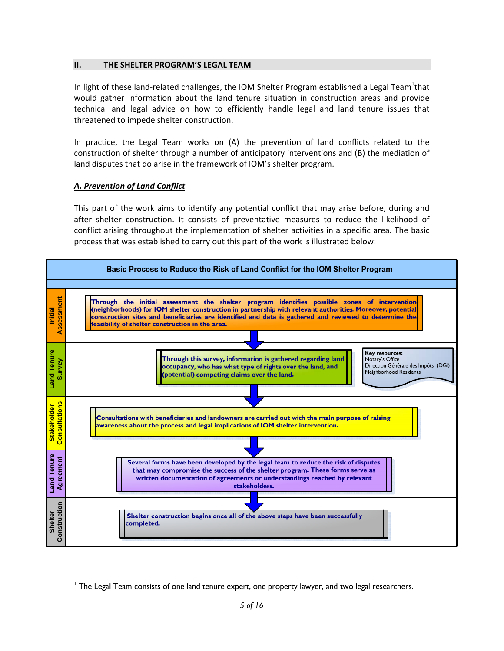#### **II. THE SHELTER PROGRAM'S LEGAL TEAM**

In light of these land-related challenges, the IOM Shelter Program established a Legal Team<sup>1</sup>that would gather information about the land tenure situation in construction areas and provide technical and legal advice on how to efficiently handle legal and land tenure issues that threatened to impede shelter construction.

In practice, the Legal Team works on (A) the prevention of land conflicts related to the construction of shelter through a number of anticipatory interventions and (B) the mediation of land disputes that do arise in the framework of IOM's shelter program.

## *A. Prevention of Land Conflict*

-

This part of the work aims to identify any potential conflict that may arise before, during and after shelter construction. It consists of preventative measures to reduce the likelihood of conflict arising throughout the implementation of shelter activities in a specific area. The basic process that was established to carry out this part of the work is illustrated below:



<sup>&</sup>lt;sup>1</sup> The Legal Team consists of one land tenure expert, one property lawyer, and two legal researchers.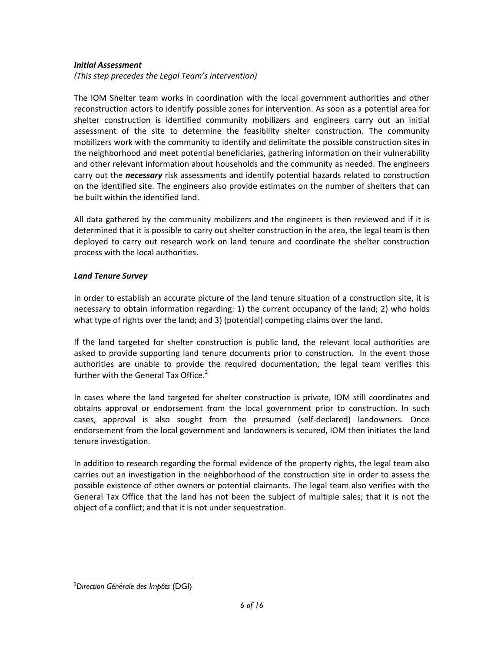## *Initial Assessment*

*(This step precedes the Legal Team's intervention)* 

The IOM Shelter team works in coordination with the local government authorities and other reconstruction actors to identify possible zones for intervention. As soon as a potential area for shelter construction is identified community mobilizers and engineers carry out an initial assessment of the site to determine the feasibility shelter construction. The community mobilizers work with the community to identify and delimitate the possible construction sites in the neighborhood and meet potential beneficiaries, gathering information on their vulnerability and other relevant information about households and the community as needed. The engineers carry out the *necessary* risk assessments and identify potential hazards related to construction on the identified site. The engineers also provide estimates on the number of shelters that can be built within the identified land.

All data gathered by the community mobilizers and the engineers is then reviewed and if it is determined that it is possible to carry out shelter construction in the area, the legal team is then deployed to carry out research work on land tenure and coordinate the shelter construction process with the local authorities.

# *Land Tenure Survey*

In order to establish an accurate picture of the land tenure situation of a construction site, it is necessary to obtain information regarding: 1) the current occupancy of the land; 2) who holds what type of rights over the land; and 3) (potential) competing claims over the land.

If the land targeted for shelter construction is public land, the relevant local authorities are asked to provide supporting land tenure documents prior to construction. In the event those authorities are unable to provide the required documentation, the legal team verifies this further with the General Tax Office. $2$ 

In cases where the land targeted for shelter construction is private, IOM still coordinates and obtains approval or endorsement from the local government prior to construction. In such cases, approval is also sought from the presumed (self‐declared) landowners. Once endorsement from the local government and landowners is secured, IOM then initiates the land tenure investigation.

In addition to research regarding the formal evidence of the property rights, the legal team also carries out an investigation in the neighborhood of the construction site in order to assess the possible existence of other owners or potential claimants. The legal team also verifies with the General Tax Office that the land has not been the subject of multiple sales; that it is not the object of a conflict; and that it is not under sequestration.

-

<sup>2</sup> *Direction Générale des Impôts* (DGI)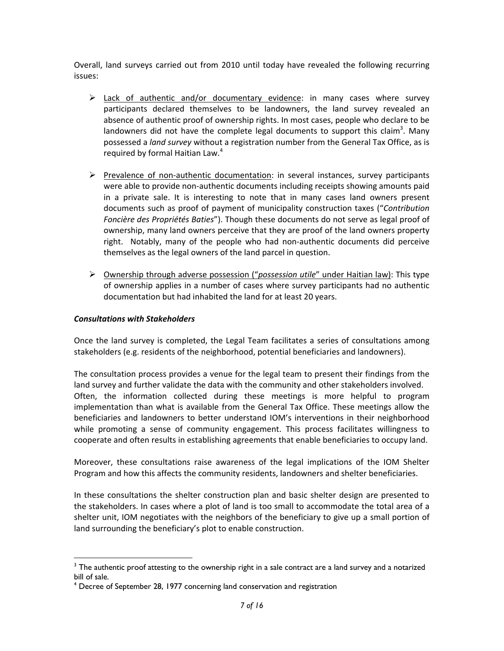Overall, land surveys carried out from 2010 until today have revealed the following recurring issues:

- $\triangleright$  Lack of authentic and/or documentary evidence: in many cases where survey participants declared themselves to be landowners, the land survey revealed an absence of authentic proof of ownership rights. In most cases, people who declare to be landowners did not have the complete legal documents to support this claim<sup>3</sup>. Many possessed a *land survey* without a registration number from the General Tax Office, as is required by formal Haitian Law.<sup>4</sup>
- $\triangleright$  Prevalence of non-authentic documentation: in several instances, survey participants were able to provide non-authentic documents including receipts showing amounts paid in a private sale. It is interesting to note that in many cases land owners present documents such as proof of payment of municipality construction taxes ("*Contribution Foncière des Propriétés Baties*"). Though these documents do not serve as legal proof of ownership, many land owners perceive that they are proof of the land owners property right. Notably, many of the people who had non-authentic documents did perceive themselves as the legal owners of the land parcel in question.
- ¾ Ownership through adverse possession ("*possession utile*" under Haitian law): This type of ownership applies in a number of cases where survey participants had no authentic documentation but had inhabited the land for at least 20 years.

## *Consultations with Stakeholders*

 $\overline{a}$ 

Once the land survey is completed, the Legal Team facilitates a series of consultations among stakeholders (e.g. residents of the neighborhood, potential beneficiaries and landowners).

The consultation process provides a venue for the legal team to present their findings from the land survey and further validate the data with the community and other stakeholders involved. Often, the information collected during these meetings is more helpful to program implementation than what is available from the General Tax Office. These meetings allow the beneficiaries and landowners to better understand IOM's interventions in their neighborhood while promoting a sense of community engagement. This process facilitates willingness to cooperate and often results in establishing agreements that enable beneficiaries to occupy land.

Moreover, these consultations raise awareness of the legal implications of the IOM Shelter Program and how this affects the community residents, landowners and shelter beneficiaries.

In these consultations the shelter construction plan and basic shelter design are presented to the stakeholders. In cases where a plot of land is too small to accommodate the total area of a shelter unit, IOM negotiates with the neighbors of the beneficiary to give up a small portion of land surrounding the beneficiary's plot to enable construction.

 $3$  The authentic proof attesting to the ownership right in a sale contract are a land survey and a notarized bill of sale.

<sup>&</sup>lt;sup>4</sup> Decree of September 28, 1977 concerning land conservation and registration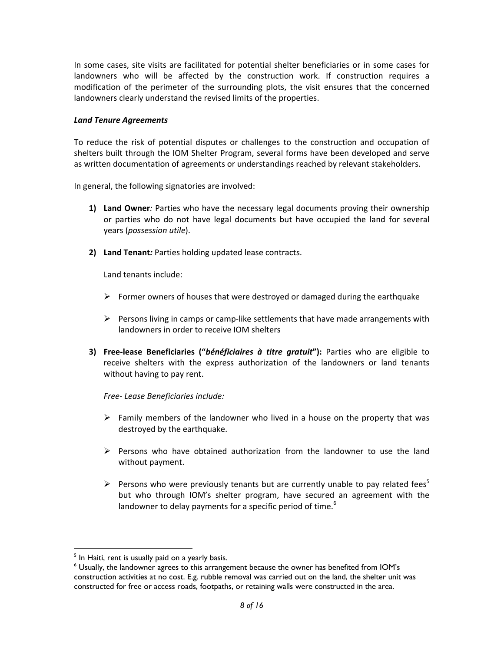In some cases, site visits are facilitated for potential shelter beneficiaries or in some cases for landowners who will be affected by the construction work. If construction requires a modification of the perimeter of the surrounding plots, the visit ensures that the concerned landowners clearly understand the revised limits of the properties.

# *Land Tenure Agreements*

To reduce the risk of potential disputes or challenges to the construction and occupation of shelters built through the IOM Shelter Program, several forms have been developed and serve as written documentation of agreements or understandings reached by relevant stakeholders.

In general, the following signatories are involved:

- **1) Land Owner***:* Parties who have the necessary legal documents proving their ownership or parties who do not have legal documents but have occupied the land for several years (*possession utile*).
- **2) Land Tenant***:* Parties holding updated lease contracts.

Land tenants include:

- $\triangleright$  Former owners of houses that were destroyed or damaged during the earthquake
- $\triangleright$  Persons living in camps or camp-like settlements that have made arrangements with landowners in order to receive IOM shelters
- **3) Free‐lease Beneficiaries ("***bénéficiaires à titre gratuit***"):** Parties who are eligible to receive shelters with the express authorization of the landowners or land tenants without having to pay rent.

*Free‐ Lease Beneficiaries include:*

- $\triangleright$  Family members of the landowner who lived in a house on the property that was destroyed by the earthquake.
- $\triangleright$  Persons who have obtained authorization from the landowner to use the land without payment.
- Exercise Persons who were previously tenants but are currently unable to pay related fees<sup>5</sup> but who through IOM's shelter program, have secured an agreement with the landowner to delay payments for a specific period of time.<sup>6</sup>

 $\overline{a}$ 

 $^5$  In Haiti, rent is usually paid on a yearly basis.<br> $^6$  Heyally, the landowner agrees to this arrange

Usually, the landowner agrees to this arrangement because the owner has benefited from IOM's construction activities at no cost. E.g. rubble removal was carried out on the land, the shelter unit was constructed for free or access roads, footpaths, or retaining walls were constructed in the area.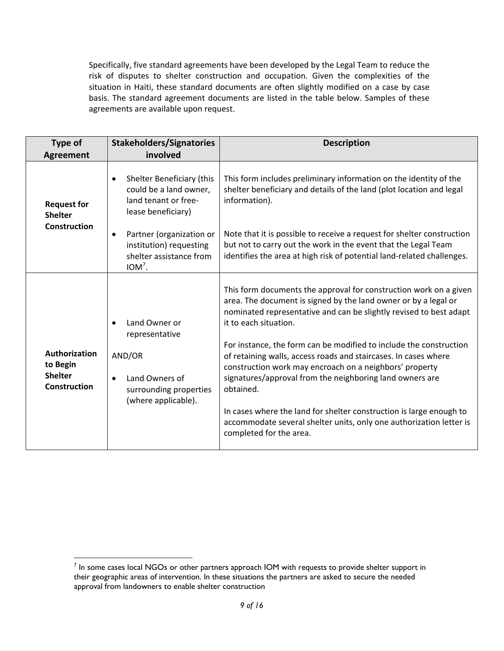Specifically, five standard agreements have been developed by the Legal Team to reduce the risk of disputes to shelter construction and occupation. Given the complexities of the situation in Haiti, these standard documents are often slightly modified on a case by case basis. The standard agreement documents are listed in the table below. Samples of these agreements are available upon request.

| Type of<br><b>Agreement</b>                                        | <b>Stakeholders/Signatories</b><br>involved                                                                    | <b>Description</b>                                                                                                                                                                                                                                                        |  |
|--------------------------------------------------------------------|----------------------------------------------------------------------------------------------------------------|---------------------------------------------------------------------------------------------------------------------------------------------------------------------------------------------------------------------------------------------------------------------------|--|
| <b>Request for</b><br><b>Shelter</b><br><b>Construction</b>        | Shelter Beneficiary (this<br>$\bullet$<br>could be a land owner,<br>land tenant or free-<br>lease beneficiary) | This form includes preliminary information on the identity of the<br>shelter beneficiary and details of the land (plot location and legal<br>information).                                                                                                                |  |
|                                                                    | Partner (organization or<br>institution) requesting<br>shelter assistance from<br>$IOM7$ .                     | Note that it is possible to receive a request for shelter construction<br>but not to carry out the work in the event that the Legal Team<br>identifies the area at high risk of potential land-related challenges.                                                        |  |
| Authorization<br>to Begin<br><b>Shelter</b><br><b>Construction</b> | Land Owner or<br>representative                                                                                | This form documents the approval for construction work on a given<br>area. The document is signed by the land owner or by a legal or<br>nominated representative and can be slightly revised to best adapt<br>it to each situation.                                       |  |
|                                                                    | AND/OR<br>Land Owners of<br>surrounding properties<br>(where applicable).                                      | For instance, the form can be modified to include the construction<br>of retaining walls, access roads and staircases. In cases where<br>construction work may encroach on a neighbors' property<br>signatures/approval from the neighboring land owners are<br>obtained. |  |
|                                                                    |                                                                                                                | In cases where the land for shelter construction is large enough to<br>accommodate several shelter units, only one authorization letter is<br>completed for the area.                                                                                                     |  |

 7 In some cases local NGOs or other partners approach IOM with requests to provide shelter support in their geographic areas of intervention. In these situations the partners are asked to secure the needed approval from landowners to enable shelter construction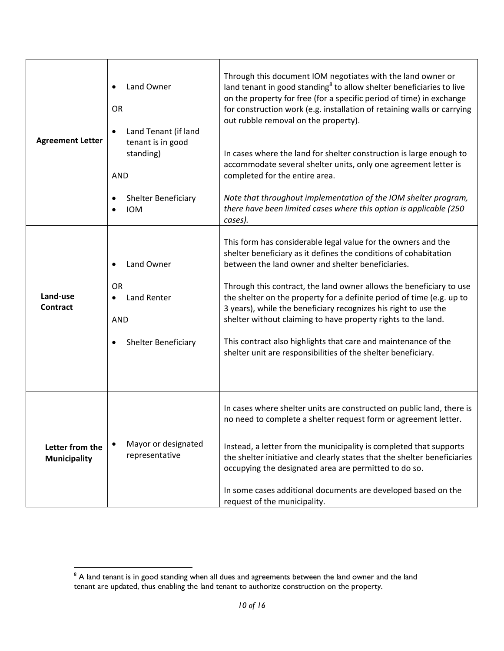| <b>Agreement Letter</b>                | Land Owner<br>$\bullet$<br><b>OR</b><br>Land Tenant (if land<br>$\bullet$<br>tenant is in good<br>standing)<br><b>AND</b><br>Shelter Beneficiary<br>$\bullet$<br><b>IOM</b><br>$\bullet$ | Through this document IOM negotiates with the land owner or<br>land tenant in good standing <sup>8</sup> to allow shelter beneficiaries to live<br>on the property for free (for a specific period of time) in exchange<br>for construction work (e.g. installation of retaining walls or carrying<br>out rubble removal on the property).<br>In cases where the land for shelter construction is large enough to<br>accommodate several shelter units, only one agreement letter is<br>completed for the entire area.<br>Note that throughout implementation of the IOM shelter program,<br>there have been limited cases where this option is applicable (250 |
|----------------------------------------|------------------------------------------------------------------------------------------------------------------------------------------------------------------------------------------|-----------------------------------------------------------------------------------------------------------------------------------------------------------------------------------------------------------------------------------------------------------------------------------------------------------------------------------------------------------------------------------------------------------------------------------------------------------------------------------------------------------------------------------------------------------------------------------------------------------------------------------------------------------------|
| Land-use<br><b>Contract</b>            | Land Owner<br>$\bullet$<br><b>OR</b><br>Land Renter<br>٠<br><b>AND</b><br><b>Shelter Beneficiary</b><br>$\bullet$                                                                        | cases).<br>This form has considerable legal value for the owners and the<br>shelter beneficiary as it defines the conditions of cohabitation<br>between the land owner and shelter beneficiaries.<br>Through this contract, the land owner allows the beneficiary to use<br>the shelter on the property for a definite period of time (e.g. up to<br>3 years), while the beneficiary recognizes his right to use the<br>shelter without claiming to have property rights to the land.<br>This contract also highlights that care and maintenance of the<br>shelter unit are responsibilities of the shelter beneficiary.                                        |
| Letter from the<br><b>Municipality</b> | Mayor or designated<br>$\bullet$<br>representative                                                                                                                                       | In cases where shelter units are constructed on public land, there is<br>no need to complete a shelter request form or agreement letter.<br>Instead, a letter from the municipality is completed that supports<br>the shelter initiative and clearly states that the shelter beneficiaries<br>occupying the designated area are permitted to do so.<br>In some cases additional documents are developed based on the<br>request of the municipality.                                                                                                                                                                                                            |

erd and tenant is in good standing when all dues and agreements between the land owner and the land and the land tenant are updated, thus enabling the land tenant to authorize construction on the property.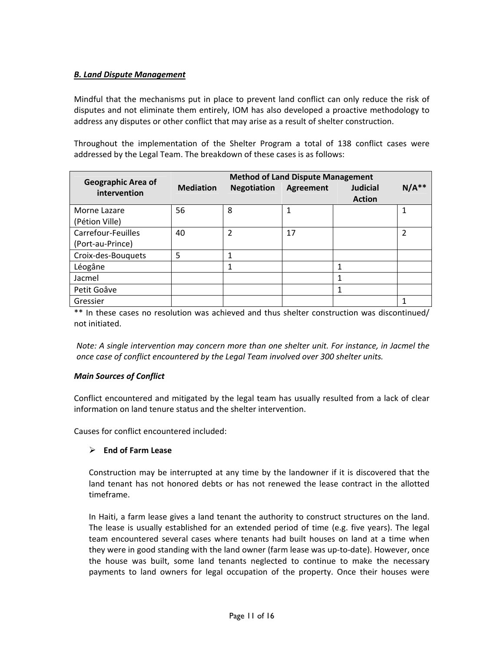# *B. Land Dispute Management*

Mindful that the mechanisms put in place to prevent land conflict can only reduce the risk of disputes and not eliminate them entirely, IOM has also developed a proactive methodology to address any disputes or other conflict that may arise as a result of shelter construction.

Throughout the implementation of the Shelter Program a total of 138 conflict cases were addressed by the Legal Team. The breakdown of these cases is as follows:

| <b>Geographic Area of</b> | <b>Method of Land Dispute Management</b> |                    |                  |                 |         |  |
|---------------------------|------------------------------------------|--------------------|------------------|-----------------|---------|--|
| intervention              | <b>Mediation</b>                         | <b>Negotiation</b> | <b>Agreement</b> | <b>Judicial</b> | $N/A**$ |  |
|                           |                                          |                    |                  | <b>Action</b>   |         |  |
| Morne Lazare              | 56                                       | 8                  |                  |                 |         |  |
| (Pétion Ville)            |                                          |                    |                  |                 |         |  |
| Carrefour-Feuilles        | 40                                       | 2                  | 17               |                 | 2       |  |
| (Port-au-Prince)          |                                          |                    |                  |                 |         |  |
| Croix-des-Bouquets        | 5                                        |                    |                  |                 |         |  |
| Léogâne                   |                                          |                    |                  |                 |         |  |
| Jacmel                    |                                          |                    |                  |                 |         |  |
| Petit Goâve               |                                          |                    |                  | 1               |         |  |
| Gressier                  |                                          |                    |                  |                 |         |  |

\*\* In these cases no resolution was achieved and thus shelter construction was discontinued/ not initiated.

*Note: A single intervention may concern more than one shelter unit. For instance, in Jacmel the once case of conflict encountered by the Legal Team involved over 300 shelter units.* 

## *Main Sources of Conflict*

Conflict encountered and mitigated by the legal team has usually resulted from a lack of clear information on land tenure status and the shelter intervention.

Causes for conflict encountered included:

## ¾ **End of Farm Lease**

Construction may be interrupted at any time by the landowner if it is discovered that the land tenant has not honored debts or has not renewed the lease contract in the allotted timeframe.

In Haiti, a farm lease gives a land tenant the authority to construct structures on the land. The lease is usually established for an extended period of time (e.g. five years). The legal team encountered several cases where tenants had built houses on land at a time when they were in good standing with the land owner (farm lease was up‐to‐date). However, once the house was built, some land tenants neglected to continue to make the necessary payments to land owners for legal occupation of the property. Once their houses were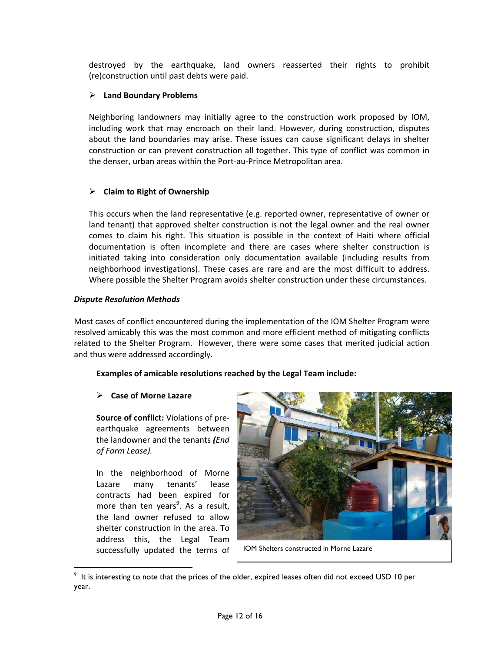destroyed by the earthquake, land owners reasserted their rights to prohibit (re)construction until past debts were paid.

# ¾ **Land Boundary Problems**

Neighboring landowners may initially agree to the construction work proposed by IOM, including work that may encroach on their land. However, during construction, disputes about the land boundaries may arise. These issues can cause significant delays in shelter construction or can prevent construction all together. This type of conflict was common in the denser, urban areas within the Port‐au‐Prince Metropolitan area.

# ¾ **Claim to Right of Ownership**

This occurs when the land representative (e.g. reported owner, representative of owner or land tenant) that approved shelter construction is not the legal owner and the real owner comes to claim his right. This situation is possible in the context of Haiti where official documentation is often incomplete and there are cases where shelter construction is initiated taking into consideration only documentation available (including results from neighborhood investigations). These cases are rare and are the most difficult to address. Where possible the Shelter Program avoids shelter construction under these circumstances.

## *Dispute Resolution Methods*

Most cases of conflict encountered during the implementation of the IOM Shelter Program were resolved amicably this was the most common and more efficient method of mitigating conflicts related to the Shelter Program. However, there were some cases that merited judicial action and thus were addressed accordingly.

## **Examples of amicable resolutions reached by the Legal Team include:**

## ¾ **Case of Morne Lazare**

**Source of conflict:** Violations of pre‐ earthquake agreements between the landowner and the tenants *(End of Farm Lease).*

In the neighborhood of Morne Lazare many tenants' lease contracts had been expired for more than ten years<sup>9</sup>. As a result, the land owner refused to allow shelter construction in the area. To address this, the Legal Team successfully updated the terms of

 $\overline{a}$ 



IOM Shelters constructed in Morne Lazare

 $9$  It is interesting to note that the prices of the older, expired leases often did not exceed USD 10 per year.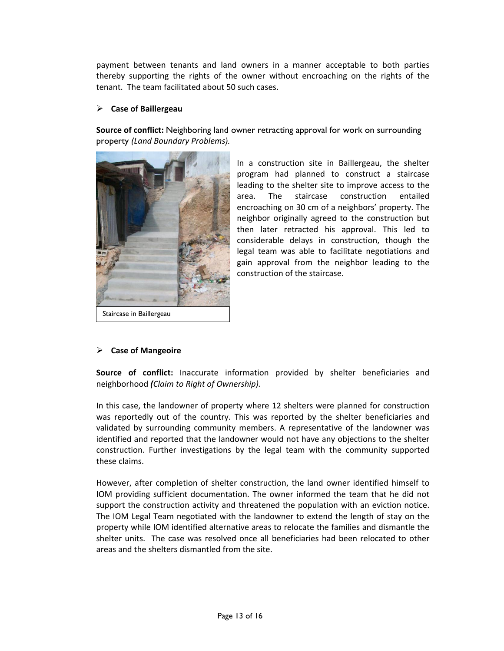payment between tenants and land owners in a manner acceptable to both parties thereby supporting the rights of the owner without encroaching on the rights of the tenant. The team facilitated about 50 such cases.

## ¾ **Case of Baillergeau**

**Source of conflict:** Neighboring land owner retracting approval for work on surrounding property *(Land Boundary Problems).*



In a construction site in Baillergeau, the shelter program had planned to construct a staircase leading to the shelter site to improve access to the area. The staircase construction entailed encroaching on 30 cm of a neighbors' property. The neighbor originally agreed to the construction but then later retracted his approval. This led to considerable delays in construction, though the legal team was able to facilitate negotiations and gain approval from the neighbor leading to the construction of the staircase.

## ¾ **Case of Mangeoire**

**Source of conflict:** Inaccurate information provided by shelter beneficiaries and neighborhood *(Claim to Right of Ownership).*

In this case, the landowner of property where 12 shelters were planned for construction was reportedly out of the country. This was reported by the shelter beneficiaries and validated by surrounding community members. A representative of the landowner was identified and reported that the landowner would not have any objections to the shelter construction. Further investigations by the legal team with the community supported these claims.

However, after completion of shelter construction, the land owner identified himself to IOM providing sufficient documentation. The owner informed the team that he did not support the construction activity and threatened the population with an eviction notice. The IOM Legal Team negotiated with the landowner to extend the length of stay on the property while IOM identified alternative areas to relocate the families and dismantle the shelter units. The case was resolved once all beneficiaries had been relocated to other areas and the shelters dismantled from the site.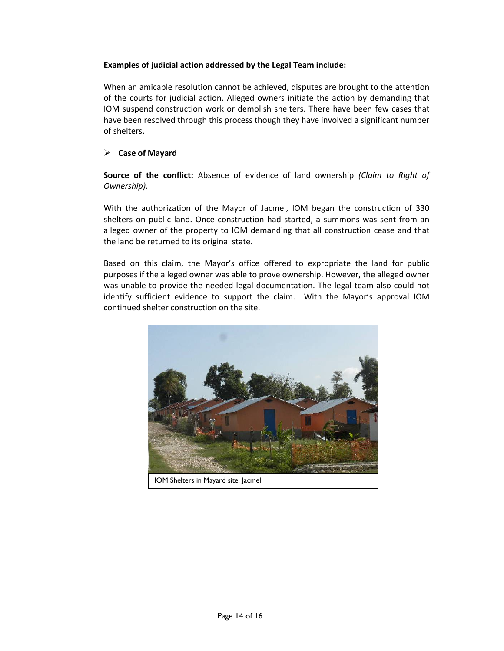## **Examples of judicial action addressed by the Legal Team include:**

When an amicable resolution cannot be achieved, disputes are brought to the attention of the courts for judicial action. Alleged owners initiate the action by demanding that IOM suspend construction work or demolish shelters. There have been few cases that have been resolved through this process though they have involved a significant number of shelters.

## ¾ **Case of Mayard**

**Source of the conflict:** Absence of evidence of land ownership *(Claim to Right of Ownership).*

With the authorization of the Mayor of Jacmel, IOM began the construction of 330 shelters on public land. Once construction had started, a summons was sent from an alleged owner of the property to IOM demanding that all construction cease and that the land be returned to its original state.

Based on this claim, the Mayor's office offered to expropriate the land for public purposes if the alleged owner was able to prove ownership. However, the alleged owner was unable to provide the needed legal documentation. The legal team also could not identify sufficient evidence to support the claim. With the Mayor's approval IOM continued shelter construction on the site.

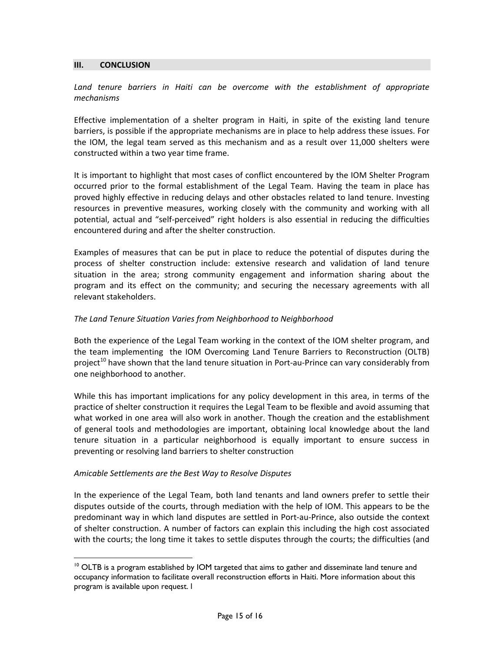#### **III. CONCLUSION**

*Land tenure barriers in Haiti can be overcome with the establishment of appropriate mechanisms*

Effective implementation of a shelter program in Haiti, in spite of the existing land tenure barriers, is possible if the appropriate mechanisms are in place to help address these issues. For the IOM, the legal team served as this mechanism and as a result over 11,000 shelters were constructed within a two year time frame.

It is important to highlight that most cases of conflict encountered by the IOM Shelter Program occurred prior to the formal establishment of the Legal Team. Having the team in place has proved highly effective in reducing delays and other obstacles related to land tenure. Investing resources in preventive measures, working closely with the community and working with all potential, actual and "self‐perceived" right holders is also essential in reducing the difficulties encountered during and after the shelter construction.

Examples of measures that can be put in place to reduce the potential of disputes during the process of shelter construction include: extensive research and validation of land tenure situation in the area; strong community engagement and information sharing about the program and its effect on the community; and securing the necessary agreements with all relevant stakeholders.

## *The Land Tenure Situation Varies from Neighborhood to Neighborhood*

Both the experience of the Legal Team working in the context of the IOM shelter program, and the team implementing the IOM Overcoming Land Tenure Barriers to Reconstruction (OLTB) project<sup>10</sup> have shown that the land tenure situation in Port-au-Prince can vary considerably from one neighborhood to another.

While this has important implications for any policy development in this area, in terms of the practice of shelter construction it requires the Legal Team to be flexible and avoid assuming that what worked in one area will also work in another. Though the creation and the establishment of general tools and methodologies are important, obtaining local knowledge about the land tenure situation in a particular neighborhood is equally important to ensure success in preventing or resolving land barriers to shelter construction

## *Amicable Settlements are the Best Way to Resolve Disputes*

-

In the experience of the Legal Team, both land tenants and land owners prefer to settle their disputes outside of the courts, through mediation with the help of IOM. This appears to be the predominant way in which land disputes are settled in Port‐au‐Prince, also outside the context of shelter construction. A number of factors can explain this including the high cost associated with the courts; the long time it takes to settle disputes through the courts; the difficulties (and

<sup>&</sup>lt;sup>10</sup> OLTB is a program established by IOM targeted that aims to gather and disseminate land tenure and occupancy information to facilitate overall reconstruction efforts in Haiti. More information about this program is available upon request. l